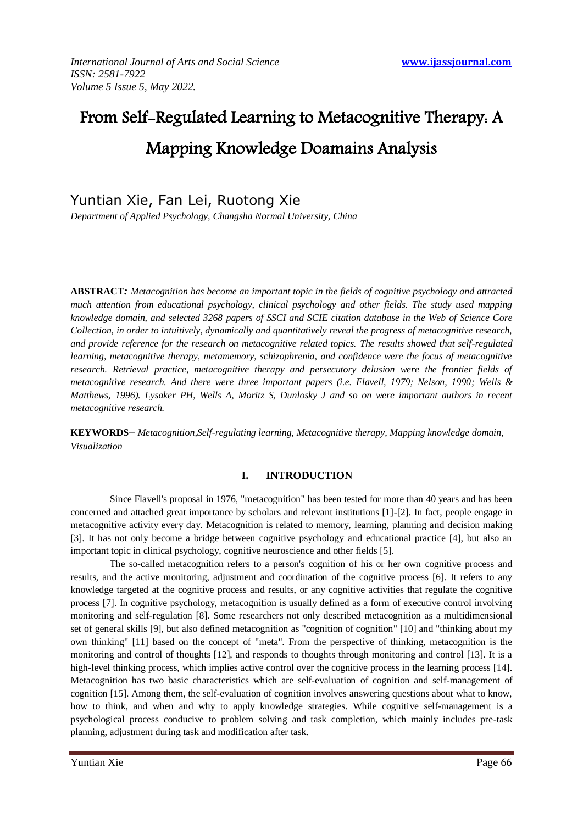# From Self-Regulated Learning to Metacognitive Therapy: A Mapping Knowledge Doamains Analysis

Yuntian Xie, Fan Lei, Ruotong Xie

*Department of Applied Psychology, Changsha Normal University, China*

**ABSTRACT***: Metacognition has become an important topic in the fields of cognitive psychology and attracted much attention from educational psychology, clinical psychology and other fields. The study used mapping knowledge domain, and selected 3268 papers of SSCI and SCIE citation database in the Web of Science Core Collection, in order to intuitively, dynamically and quantitatively reveal the progress of metacognitive research, and provide reference for the research on metacognitive related topics. The results showed that self-regulated learning, metacognitive therapy, metamemory, schizophrenia, and confidence were the focus of metacognitive research. Retrieval practice, metacognitive therapy and persecutory delusion were the frontier fields of metacognitive research. And there were three important papers (i.e. Flavell, 1979; Nelson, 1990; Wells & Matthews, 1996). Lysaker PH, Wells A, Moritz S, Dunlosky J and so on were important authors in recent metacognitive research.*

**KEYWORDS**– *Metacognition,Self-regulating learning, Metacognitive therapy, Mapping knowledge domain, Visualization*

# **I. INTRODUCTION**

Since Flavell's proposal in 1976, "metacognition" has been tested for more than 40 years and has been concerned and attached great importance by scholars and relevant institutions [1]-[2]. In fact, people engage in metacognitive activity every day. Metacognition is related to memory, learning, planning and decision making [3]. It has not only become a bridge between cognitive psychology and educational practice [4], but also an important topic in clinical psychology, cognitive neuroscience and other fields [5].

The so-called metacognition refers to a person's cognition of his or her own cognitive process and results, and the active monitoring, adjustment and coordination of the cognitive process [6]. It refers to any knowledge targeted at the cognitive process and results, or any cognitive activities that regulate the cognitive process [7]. In cognitive psychology, metacognition is usually defined as a form of executive control involving monitoring and self-regulation [8]. Some researchers not only described metacognition as a multidimensional set of general skills [9], but also defined metacognition as "cognition of cognition" [10] and "thinking about my own thinking" [11] based on the concept of "meta". From the perspective of thinking, metacognition is the monitoring and control of thoughts [12], and responds to thoughts through monitoring and control [13]. It is a high-level thinking process, which implies active control over the cognitive process in the learning process [14]. Metacognition has two basic characteristics which are self-evaluation of cognition and self-management of cognition [15]. Among them, the self-evaluation of cognition involves answering questions about what to know, how to think, and when and why to apply knowledge strategies. While cognitive self-management is a psychological process conducive to problem solving and task completion, which mainly includes pre-task planning, adjustment during task and modification after task.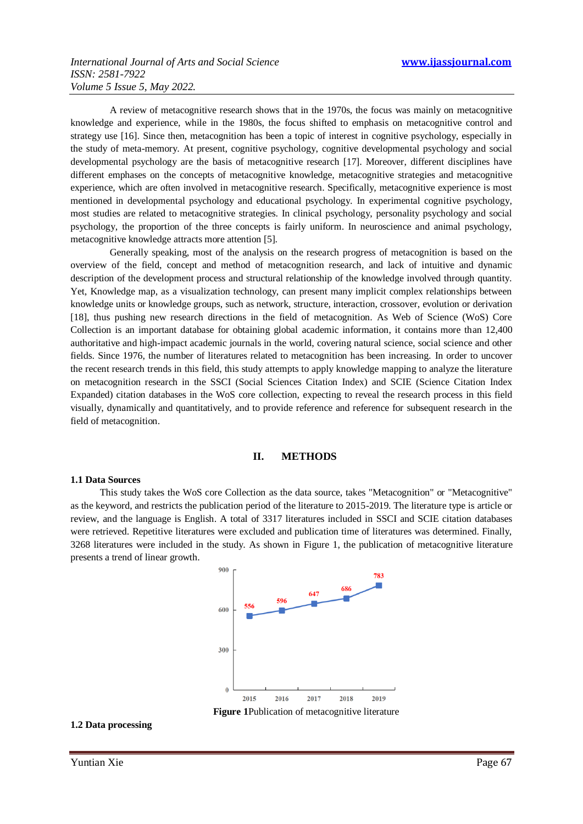A review of metacognitive research shows that in the 1970s, the focus was mainly on metacognitive knowledge and experience, while in the 1980s, the focus shifted to emphasis on metacognitive control and strategy use [16]. Since then, metacognition has been a topic of interest in cognitive psychology, especially in the study of meta-memory. At present, cognitive psychology, cognitive developmental psychology and social developmental psychology are the basis of metacognitive research [17]. Moreover, different disciplines have different emphases on the concepts of metacognitive knowledge, metacognitive strategies and metacognitive experience, which are often involved in metacognitive research. Specifically, metacognitive experience is most mentioned in developmental psychology and educational psychology. In experimental cognitive psychology, most studies are related to metacognitive strategies. In clinical psychology, personality psychology and social psychology, the proportion of the three concepts is fairly uniform. In neuroscience and animal psychology, metacognitive knowledge attracts more attention [5].

Generally speaking, most of the analysis on the research progress of metacognition is based on the overview of the field, concept and method of metacognition research, and lack of intuitive and dynamic description of the development process and structural relationship of the knowledge involved through quantity. Yet, Knowledge map, as a visualization technology, can present many implicit complex relationships between knowledge units or knowledge groups, such as network, structure, interaction, crossover, evolution or derivation [18], thus pushing new research directions in the field of metacognition. As Web of Science (WoS) Core Collection is an important database for obtaining global academic information, it contains more than 12,400 authoritative and high-impact academic journals in the world, covering natural science, social science and other fields. Since 1976, the number of literatures related to metacognition has been increasing. In order to uncover the recent research trends in this field, this study attempts to apply knowledge mapping to analyze the literature on metacognition research in the SSCI (Social Sciences Citation Index) and SCIE (Science Citation Index Expanded) citation databases in the WoS core collection, expecting to reveal the research process in this field visually, dynamically and quantitatively, and to provide reference and reference for subsequent research in the field of metacognition.

## **II. METHODS**

#### **1.1 Data Sources**

This study takes the WoS core Collection as the data source, takes "Metacognition" or "Metacognitive" as the keyword, and restricts the publication period of the literature to 2015-2019. The literature type is article or review, and the language is English. A total of 3317 literatures included in SSCI and SCIE citation databases were retrieved. Repetitive literatures were excluded and publication time of literatures was determined. Finally, 3268 literatures were included in the study. As shown in Figure 1, the publication of metacognitive literature presents a trend of linear growth.



**Figure 1**Publication of metacognitive literature

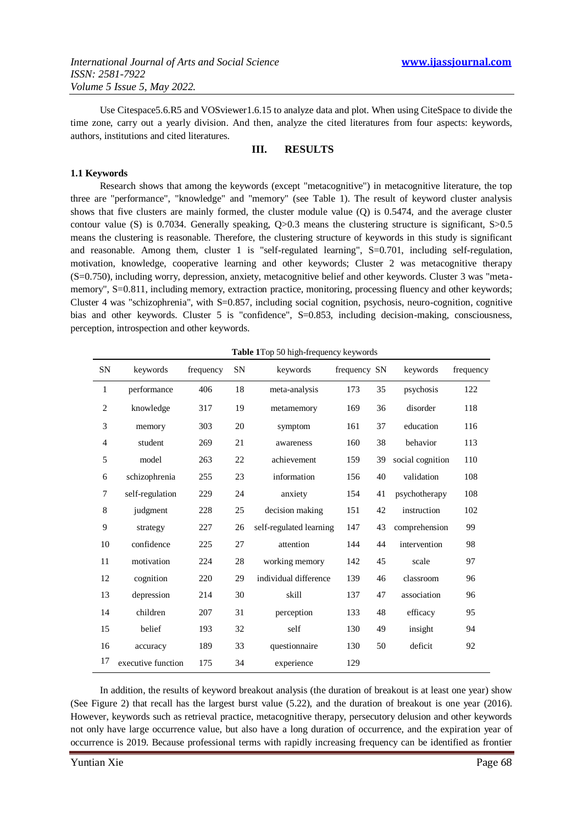Use Citespace5.6.R5 and VOSviewer1.6.15 to analyze data and plot. When using CiteSpace to divide the time zone, carry out a yearly division. And then, analyze the cited literatures from four aspects: keywords, authors, institutions and cited literatures.

## **III. RESULTS**

#### **1.1 Keywords**

Research shows that among the keywords (except "metacognitive") in metacognitive literature, the top three are "performance", "knowledge" and "memory" (see Table 1). The result of keyword cluster analysis shows that five clusters are mainly formed, the cluster module value (Q) is 0.5474, and the average cluster contour value (S) is 0.7034. Generally speaking, Q>0.3 means the clustering structure is significant, S>0.5 means the clustering is reasonable. Therefore, the clustering structure of keywords in this study is significant and reasonable. Among them, cluster 1 is "self-regulated learning", S=0.701, including self-regulation, motivation, knowledge, cooperative learning and other keywords; Cluster 2 was metacognitive therapy (S=0.750), including worry, depression, anxiety, metacognitive belief and other keywords. Cluster 3 was "metamemory", S=0.811, including memory, extraction practice, monitoring, processing fluency and other keywords; Cluster 4 was "schizophrenia", with S=0.857, including social cognition, psychosis, neuro-cognition, cognitive bias and other keywords. Cluster 5 is "confidence", S=0.853, including decision-making, consciousness, perception, introspection and other keywords.

|  |  | Table 1Top 50 high-frequency keywords |
|--|--|---------------------------------------|
|--|--|---------------------------------------|

| SN             | keywords           | frequency | <b>SN</b> | keywords                | frequency SN |    | keywords         | frequency |
|----------------|--------------------|-----------|-----------|-------------------------|--------------|----|------------------|-----------|
| 1              | performance        | 406       | 18        | meta-analysis           | 173          | 35 | psychosis        | 122       |
| $\overline{2}$ | knowledge          | 317       | 19        | metamemory              | 169          | 36 | disorder         | 118       |
| 3              | memory             | 303       | 20        | symptom                 | 161          | 37 | education        | 116       |
| $\overline{4}$ | student            | 269       | 21        | awareness               | 160          | 38 | behavior         | 113       |
| 5              | model              | 263       | 22        | achievement             | 159          | 39 | social cognition | 110       |
| 6              | schizophrenia      | 255       | 23        | information             | 156          | 40 | validation       | 108       |
| 7              | self-regulation    | 229       | 24        | anxiety                 | 154          | 41 | psychotherapy    | 108       |
| 8              | judgment           | 228       | 25        | decision making         | 151          | 42 | instruction      | 102       |
| 9              | strategy           | 227       | 26        | self-regulated learning | 147          | 43 | comprehension    | 99        |
| 10             | confidence         | 225       | 27        | attention               | 144          | 44 | intervention     | 98        |
| 11             | motivation         | 224       | 28        | working memory          | 142          | 45 | scale            | 97        |
| 12             | cognition          | 220       | 29        | individual difference   | 139          | 46 | classroom        | 96        |
| 13             | depression         | 214       | 30        | skill                   | 137          | 47 | association      | 96        |
| 14             | children           | 207       | 31        | perception              | 133          | 48 | efficacy         | 95        |
| 15             | belief             | 193       | 32        | self                    | 130          | 49 | insight          | 94        |
| 16             | accuracy           | 189       | 33        | questionnaire           | 130          | 50 | deficit          | 92        |
| 17             | executive function | 175       | 34        | experience              | 129          |    |                  |           |

In addition, the results of keyword breakout analysis (the duration of breakout is at least one year) show (See Figure 2) that recall has the largest burst value (5.22), and the duration of breakout is one year (2016). However, keywords such as retrieval practice, metacognitive therapy, persecutory delusion and other keywords not only have large occurrence value, but also have a long duration of occurrence, and the expiration year of occurrence is 2019. Because professional terms with rapidly increasing frequency can be identified as frontier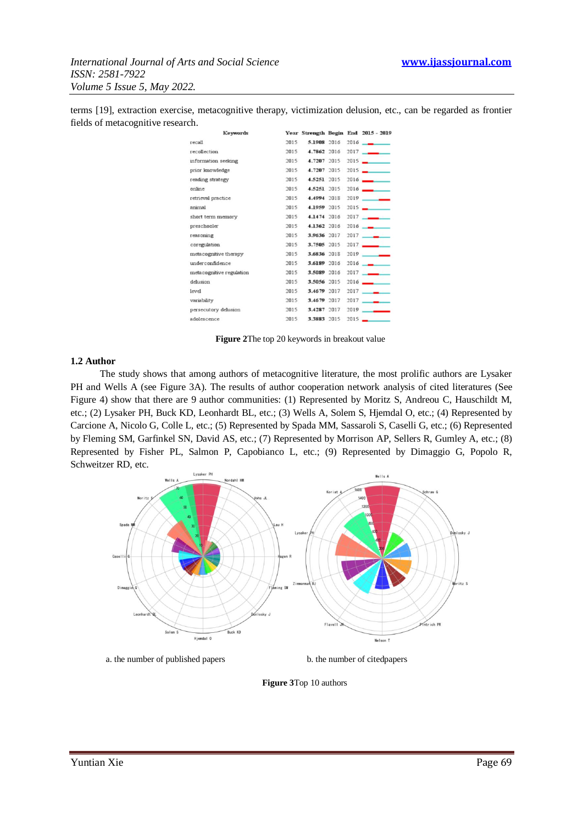terms [19], extraction exercise, metacognitive therapy, victimization delusion, etc., can be regarded as frontier fields of metacognitive research.

| Keywords                 |      |             |      | Year Strength Begin End 2015 - 2019 |
|--------------------------|------|-------------|------|-------------------------------------|
| recall                   | 2015 | 5.1908 2016 |      | $2016$ $-$                          |
| recollection             | 2015 | 4.7862 2016 | 2017 |                                     |
| information seeking      | 2015 | 4.7207 2015 | 2015 |                                     |
| prior knowledge          | 2015 | 4.7207 2015 | 2015 |                                     |
| reading strategy         | 2015 | 4.5251 2015 | 2016 |                                     |
| online                   | 2015 | 4.5251 2015 | 2016 |                                     |
| retrieval practice       | 2015 | 4.4994 2018 | 2019 |                                     |
| animal                   | 2015 | 4.1959 2015 |      | $2015 -$                            |
| short term memory        | 2015 | 4.1474 2016 |      | $2017$ $\longrightarrow$            |
| preschooler              | 2015 | 4.1362 2016 | 2016 |                                     |
| reasoning                | 2015 | 3.9636 2017 | 2017 |                                     |
| coregulation             | 2015 | 3,7505 2015 | 2017 |                                     |
| metacognitive therapy    | 2015 | 3.6836 2018 | 2019 |                                     |
| underconfidence          | 2015 | 3.6189 2016 | 2016 |                                     |
| metacognitive regulation | 2015 | 3,5089 2016 |      | $2017$ $\longrightarrow$            |
| delusion                 | 2015 | 3.5056 2015 | 2016 |                                     |
| level                    | 2015 | 3.4679 2017 | 2017 |                                     |
| variability              | 2015 | 3.4679 2017 | 2017 |                                     |
| persecutory delusion     | 2015 | 3.4287 2017 | 2019 |                                     |
| adolescence              | 2015 | 3.3883 2015 |      | $2015 -$                            |
|                          |      |             |      |                                     |

**Figure 2**The top 20 keywords in breakout value

## **1.2 Author**

The study shows that among authors of metacognitive literature, the most prolific authors are Lysaker PH and Wells A (see Figure 3A). The results of author cooperation network analysis of cited literatures (See Figure 4) show that there are 9 author communities: (1) Represented by Moritz S, Andreou C, Hauschildt M, etc.; (2) Lysaker PH, Buck KD, Leonhardt BL, etc.; (3) Wells A, Solem S, Hjemdal O, etc.; (4) Represented by Carcione A, Nicolo G, Colle L, etc.; (5) Represented by Spada MM, Sassaroli S, Caselli G, etc.; (6) Represented by Fleming SM, Garfinkel SN, David AS, etc.; (7) Represented by Morrison AP, Sellers R, Gumley A, etc.; (8) Represented by Fisher PL, Salmon P, Capobianco L, etc.; (9) Represented by Dimaggio G, Popolo R, Schweitzer RD, etc.



a. the number of published papers b. the number of citedpapers

**Figure 3**Top 10 authors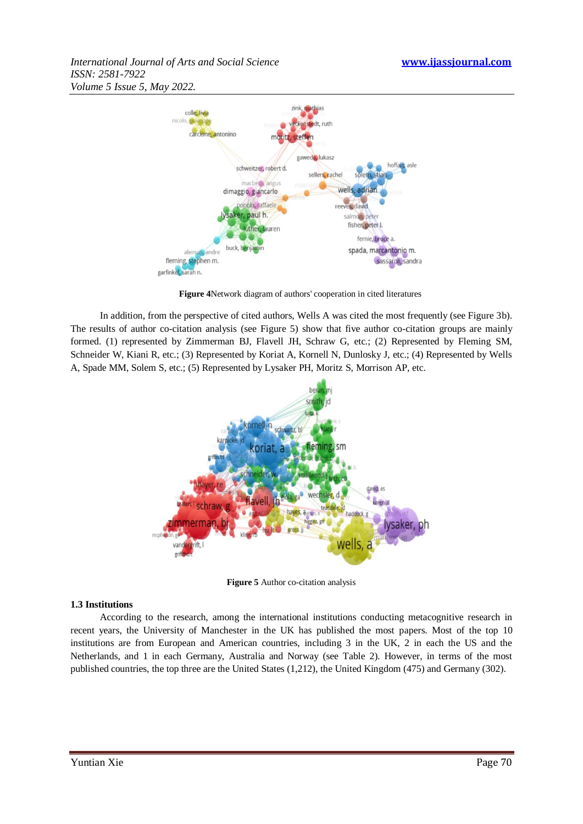*International Journal of Arts and Social Science* **www.ijassjournal.com** *ISSN: 2581-7922 Volume 5 Issue 5, May 2022.*



**Figure 4**Network diagram of authors' cooperation in cited literatures

In addition, from the perspective of cited authors, Wells A was cited the most frequently (see Figure 3b). The results of author co-citation analysis (see Figure 5) show that five author co-citation groups are mainly formed. (1) represented by Zimmerman BJ, Flavell JH, Schraw G, etc.; (2) Represented by Fleming SM, Schneider W, Kiani R, etc.; (3) Represented by Koriat A, Kornell N, Dunlosky J, etc.; (4) Represented by Wells A, Spade MM, Solem S, etc.; (5) Represented by Lysaker PH, Moritz S, Morrison AP, etc.



**Figure 5** Author co-citation analysis

# **1.3 Institutions**

According to the research, among the international institutions conducting metacognitive research in recent years, the University of Manchester in the UK has published the most papers. Most of the top 10 institutions are from European and American countries, including 3 in the UK, 2 in each the US and the Netherlands, and 1 in each Germany, Australia and Norway (see Table 2). However, in terms of the most published countries, the top three are the United States (1,212), the United Kingdom (475) and Germany (302).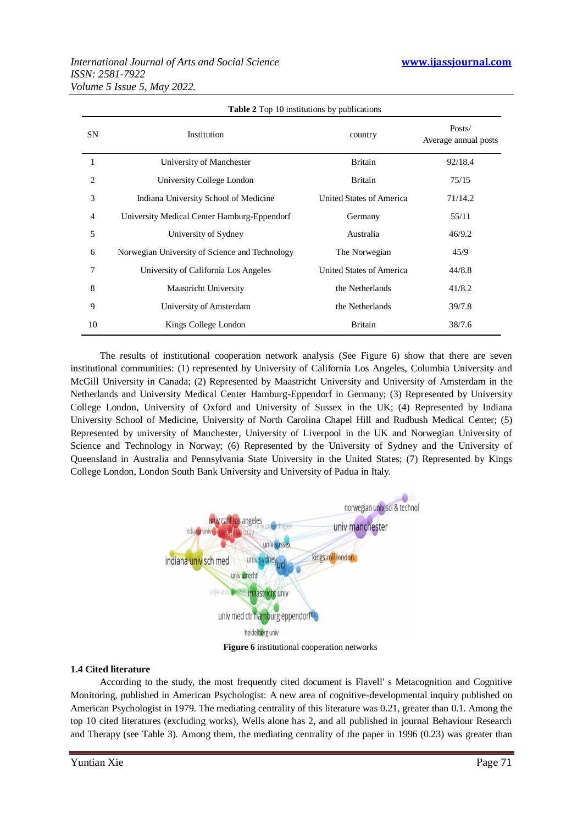# *International Journal of Arts and Social Science* **www.ijassjournal.com** *ISSN: 2581-7922 Volume 5 Issue 5, May 2022.*

| <b>Table 2</b> Top 10 institutions by publications |                                                |                                 |                                |  |
|----------------------------------------------------|------------------------------------------------|---------------------------------|--------------------------------|--|
| <b>SN</b>                                          | Institution                                    | country                         | Posts/<br>Average annual posts |  |
|                                                    | University of Manchester                       | <b>Britain</b>                  | 92/18.4                        |  |
| 2                                                  | University College London                      | <b>Britain</b>                  | 75/15                          |  |
| 3                                                  | Indiana University School of Medicine          | United States of America        | 71/14.2                        |  |
| 4                                                  | University Medical Center Hamburg-Eppendorf    | Germany                         | 55/11                          |  |
| 5                                                  | University of Sydney                           | Australia                       | 46/9.2                         |  |
| 6                                                  | Norwegian University of Science and Technology | The Norwegian                   | 45/9                           |  |
| 7                                                  | University of California Los Angeles           | <b>United States of America</b> | 44/8.8                         |  |
| 8                                                  | <b>Maastricht University</b>                   | the Netherlands                 | 41/8.2                         |  |
| 9                                                  | University of Amsterdam                        | the Netherlands                 | 39/7.8                         |  |
| 10                                                 | Kings College London                           | <b>Britain</b>                  | 38/7.6                         |  |

The results of institutional cooperation network analysis (See Figure 6) show that there are seven institutional communities: (1) represented by University of California Los Angeles, Columbia University and McGill University in Canada; (2) Represented by Maastricht University and University of Amsterdam in the Netherlands and University Medical Center Hamburg-Eppendorf in Germany; (3) Represented by University College London, University of Oxford and University of Sussex in the UK; (4) Represented by Indiana University School of Medicine, University of North Carolina Chapel Hill and Rudbush Medical Center; (5) Represented by university of Manchester, University of Liverpool in the UK and Norwegian University of Science and Technology in Norway; (6) Represented by the University of Sydney and the University of Queensland in Australia and Pennsylvania State University in the United States; (7) Represented by Kings College London, London South Bank University and University of Padua in Italy.



**Figure 6** institutional cooperation networks

# **1.4 Cited literature**

According to the study, the most frequently cited document is Flavell' s Metacognition and Cognitive Monitoring, published in American Psychologist: A new area of cognitive-developmental inquiry published on American Psychologist in 1979. The mediating centrality of this literature was 0.21, greater than 0.1. Among the top 10 cited literatures (excluding works), Wells alone has 2, and all published in journal Behaviour Research and Therapy (see Table 3). Among them, the mediating centrality of the paper in 1996 (0.23) was greater than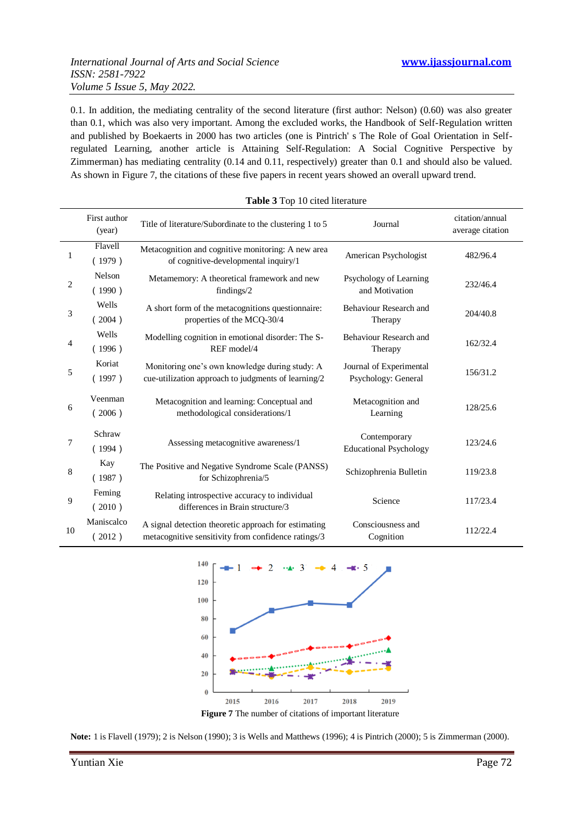0.1. In addition, the mediating centrality of the second literature (first author: Nelson) (0.60) was also greater than 0.1, which was also very important. Among the excluded works, the Handbook of Self-Regulation written and published by Boekaerts in 2000 has two articles (one is Pintrich' s The Role of Goal Orientation in Selfregulated Learning, another article is Attaining Self-Regulation: A Social Cognitive Perspective by Zimmerman) has mediating centrality (0.14 and 0.11, respectively) greater than 0.1 and should also be valued. As shown in Figure 7, the citations of these five papers in recent years showed an overall upward trend.

|    | First author<br>(year) | Title of literature/Subordinate to the clustering 1 to 5                                                    | Journal                                        | citation/annual<br>average citation |
|----|------------------------|-------------------------------------------------------------------------------------------------------------|------------------------------------------------|-------------------------------------|
| 1  | Flavell<br>(1979)      | Metacognition and cognitive monitoring: A new area<br>of cognitive-developmental inquiry/1                  | American Psychologist                          | 482/96.4                            |
| 2  | Nelson<br>(1990)       | Metamemory: A theoretical framework and new<br>findings/2                                                   | Psychology of Learning<br>and Motivation       | 232/46.4                            |
| 3  | Wells<br>(2004)        | A short form of the metacognitions questionnaire:<br>properties of the MCQ-30/4                             | Behaviour Research and<br>Therapy              | 204/40.8                            |
| 4  | Wells<br>(1996)        | Modelling cognition in emotional disorder: The S-<br>REF model/4                                            | Behaviour Research and<br>Therapy              | 162/32.4                            |
| 5  | Koriat<br>(1997)       | Monitoring one's own knowledge during study: A<br>cue-utilization approach to judgments of learning/2       | Journal of Experimental<br>Psychology: General | 156/31.2                            |
| 6  | Veenman<br>(2006)      | Metacognition and learning: Conceptual and<br>methodological considerations/1                               | Metacognition and<br>Learning                  | 128/25.6                            |
| 7  | Schraw<br>(1994)       | Assessing metacognitive awareness/1                                                                         | Contemporary<br><b>Educational Psychology</b>  | 123/24.6                            |
| 8  | Kay<br>(1987)          | The Positive and Negative Syndrome Scale (PANSS)<br>for Schizophrenia/5                                     | Schizophrenia Bulletin                         | 119/23.8                            |
| 9  | Feming<br>(2010)       | Relating introspective accuracy to individual<br>differences in Brain structure/3                           | Science                                        | 117/23.4                            |
| 10 | Maniscalco<br>(2012)   | A signal detection theoretic approach for estimating<br>metacognitive sensitivity from confidence ratings/3 | Consciousness and<br>Cognition                 | 112/22.4                            |





**Note:** 1 is Flavell (1979); 2 is Nelson (1990); 3 is Wells and Matthews (1996); 4 is Pintrich (2000); 5 is Zimmerman (2000).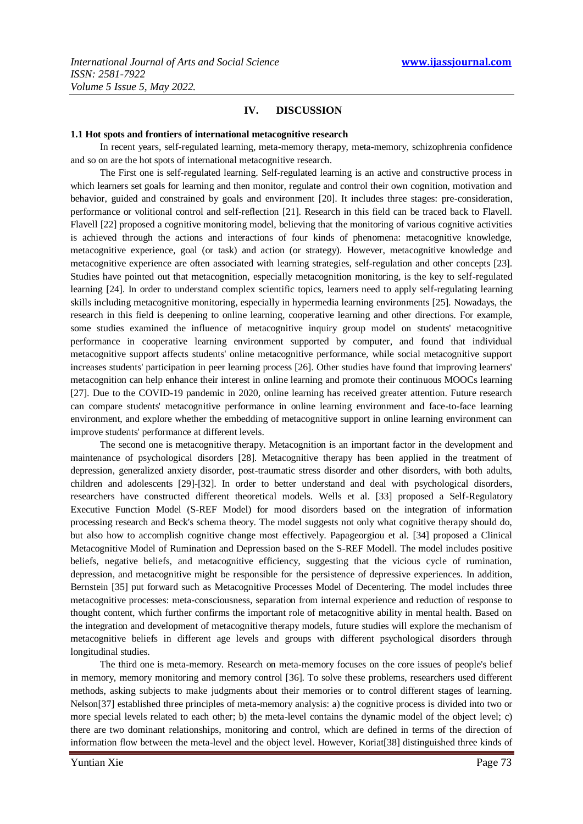# **IV. DISCUSSION**

#### **1.1 Hot spots and frontiers of international metacognitive research**

In recent years, self-regulated learning, meta-memory therapy, meta-memory, schizophrenia confidence and so on are the hot spots of international metacognitive research.

The First one is self-regulated learning. Self-regulated learning is an active and constructive process in which learners set goals for learning and then monitor, regulate and control their own cognition, motivation and behavior, guided and constrained by goals and environment [20]. It includes three stages: pre-consideration, performance or volitional control and self-reflection [21]. Research in this field can be traced back to Flavell. Flavell [22] proposed a cognitive monitoring model, believing that the monitoring of various cognitive activities is achieved through the actions and interactions of four kinds of phenomena: metacognitive knowledge, metacognitive experience, goal (or task) and action (or strategy). However, metacognitive knowledge and metacognitive experience are often associated with learning strategies, self-regulation and other concepts [23]. Studies have pointed out that metacognition, especially metacognition monitoring, is the key to self-regulated learning [24]. In order to understand complex scientific topics, learners need to apply self-regulating learning skills including metacognitive monitoring, especially in hypermedia learning environments [25]. Nowadays, the research in this field is deepening to online learning, cooperative learning and other directions. For example, some studies examined the influence of metacognitive inquiry group model on students' metacognitive performance in cooperative learning environment supported by computer, and found that individual metacognitive support affects students' online metacognitive performance, while social metacognitive support increases students' participation in peer learning process [26]. Other studies have found that improving learners' metacognition can help enhance their interest in online learning and promote their continuous MOOCs learning [27]. Due to the COVID-19 pandemic in 2020, online learning has received greater attention. Future research can compare students' metacognitive performance in online learning environment and face-to-face learning environment, and explore whether the embedding of metacognitive support in online learning environment can improve students' performance at different levels.

The second one is metacognitive therapy. Metacognition is an important factor in the development and maintenance of psychological disorders [28]. Metacognitive therapy has been applied in the treatment of depression, generalized anxiety disorder, post-traumatic stress disorder and other disorders, with both adults, children and adolescents [29]-[32]. In order to better understand and deal with psychological disorders, researchers have constructed different theoretical models. Wells et al. [33] proposed a Self-Regulatory Executive Function Model (S-REF Model) for mood disorders based on the integration of information processing research and Beck's schema theory. The model suggests not only what cognitive therapy should do, but also how to accomplish cognitive change most effectively. Papageorgiou et al. [34] proposed a Clinical Metacognitive Model of Rumination and Depression based on the S-REF Modell. The model includes positive beliefs, negative beliefs, and metacognitive efficiency, suggesting that the vicious cycle of rumination, depression, and metacognitive might be responsible for the persistence of depressive experiences. In addition, Bernstein [35] put forward such as Metacognitive Processes Model of Decentering. The model includes three metacognitive processes: meta-consciousness, separation from internal experience and reduction of response to thought content, which further confirms the important role of metacognitive ability in mental health. Based on the integration and development of metacognitive therapy models, future studies will explore the mechanism of metacognitive beliefs in different age levels and groups with different psychological disorders through longitudinal studies.

The third one is meta-memory. Research on meta-memory focuses on the core issues of people's belief in memory, memory monitoring and memory control [36]. To solve these problems, researchers used different methods, asking subjects to make judgments about their memories or to control different stages of learning. Nelson[37] established three principles of meta-memory analysis: a) the cognitive process is divided into two or more special levels related to each other; b) the meta-level contains the dynamic model of the object level; c) there are two dominant relationships, monitoring and control, which are defined in terms of the direction of information flow between the meta-level and the object level. However, Koriat[38] distinguished three kinds of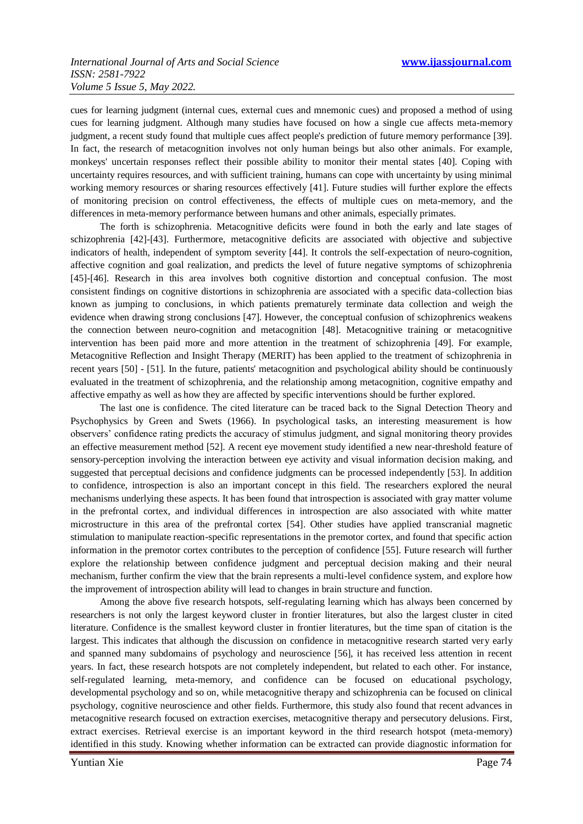cues for learning judgment (internal cues, external cues and mnemonic cues) and proposed a method of using cues for learning judgment. Although many studies have focused on how a single cue affects meta-memory judgment, a recent study found that multiple cues affect people's prediction of future memory performance [39]. In fact, the research of metacognition involves not only human beings but also other animals. For example, monkeys' uncertain responses reflect their possible ability to monitor their mental states [40]. Coping with uncertainty requires resources, and with sufficient training, humans can cope with uncertainty by using minimal working memory resources or sharing resources effectively [41]. Future studies will further explore the effects of monitoring precision on control effectiveness, the effects of multiple cues on meta-memory, and the differences in meta-memory performance between humans and other animals, especially primates.

The forth is schizophrenia. Metacognitive deficits were found in both the early and late stages of schizophrenia [42]-[43]. Furthermore, metacognitive deficits are associated with objective and subjective indicators of health, independent of symptom severity [44]. It controls the self-expectation of neuro-cognition, affective cognition and goal realization, and predicts the level of future negative symptoms of schizophrenia [45]-[46]. Research in this area involves both cognitive distortion and conceptual confusion. The most consistent findings on cognitive distortions in schizophrenia are associated with a specific data-collection bias known as jumping to conclusions, in which patients prematurely terminate data collection and weigh the evidence when drawing strong conclusions [47]. However, the conceptual confusion of schizophrenics weakens the connection between neuro-cognition and metacognition [48]. Metacognitive training or metacognitive intervention has been paid more and more attention in the treatment of schizophrenia [49]. For example, Metacognitive Reflection and Insight Therapy (MERIT) has been applied to the treatment of schizophrenia in recent years [50] - [51]. In the future, patients' metacognition and psychological ability should be continuously evaluated in the treatment of schizophrenia, and the relationship among metacognition, cognitive empathy and affective empathy as well as how they are affected by specific interventions should be further explored.

The last one is confidence. The cited literature can be traced back to the Signal Detection Theory and Psychophysics by Green and Swets (1966). In psychological tasks, an interesting measurement is how observers' confidence rating predicts the accuracy of stimulus judgment, and signal monitoring theory provides an effective measurement method [52]. A recent eye movement study identified a new near-threshold feature of sensory-perception involving the interaction between eye activity and visual information decision making, and suggested that perceptual decisions and confidence judgments can be processed independently [53]. In addition to confidence, introspection is also an important concept in this field. The researchers explored the neural mechanisms underlying these aspects. It has been found that introspection is associated with gray matter volume in the prefrontal cortex, and individual differences in introspection are also associated with white matter microstructure in this area of the prefrontal cortex [54]. Other studies have applied transcranial magnetic stimulation to manipulate reaction-specific representations in the premotor cortex, and found that specific action information in the premotor cortex contributes to the perception of confidence [55]. Future research will further explore the relationship between confidence judgment and perceptual decision making and their neural mechanism, further confirm the view that the brain represents a multi-level confidence system, and explore how the improvement of introspection ability will lead to changes in brain structure and function.

Among the above five research hotspots, self-regulating learning which has always been concerned by researchers is not only the largest keyword cluster in frontier literatures, but also the largest cluster in cited literature. Confidence is the smallest keyword cluster in frontier literatures, but the time span of citation is the largest. This indicates that although the discussion on confidence in metacognitive research started very early and spanned many subdomains of psychology and neuroscience [56], it has received less attention in recent years. In fact, these research hotspots are not completely independent, but related to each other. For instance, self-regulated learning, meta-memory, and confidence can be focused on educational psychology, developmental psychology and so on, while metacognitive therapy and schizophrenia can be focused on clinical psychology, cognitive neuroscience and other fields. Furthermore, this study also found that recent advances in metacognitive research focused on extraction exercises, metacognitive therapy and persecutory delusions. First, extract exercises. Retrieval exercise is an important keyword in the third research hotspot (meta-memory) identified in this study. Knowing whether information can be extracted can provide diagnostic information for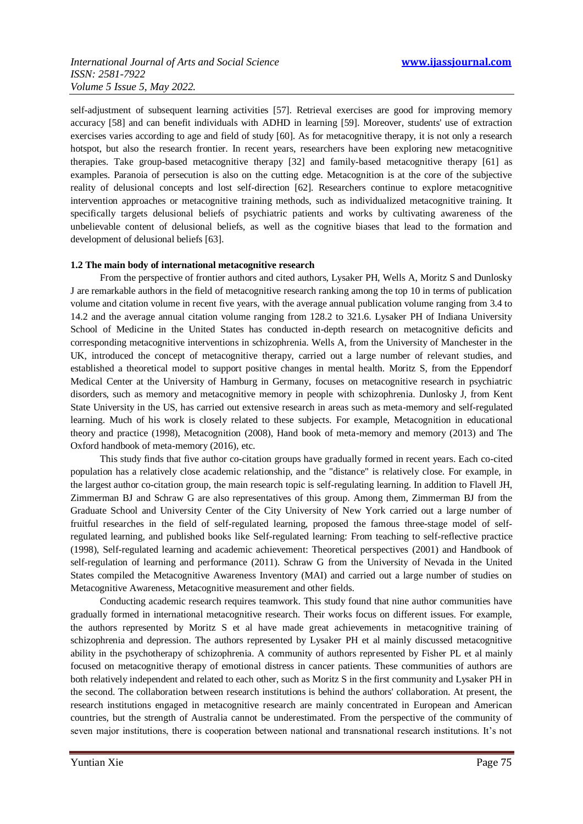self-adjustment of subsequent learning activities [57]. Retrieval exercises are good for improving memory accuracy [58] and can benefit individuals with ADHD in learning [59]. Moreover, students' use of extraction exercises varies according to age and field of study [60]. As for metacognitive therapy, it is not only a research hotspot, but also the research frontier. In recent years, researchers have been exploring new metacognitive therapies. Take group-based metacognitive therapy [32] and family-based metacognitive therapy [61] as examples. Paranoia of persecution is also on the cutting edge. Metacognition is at the core of the subjective reality of delusional concepts and lost self-direction [62]. Researchers continue to explore metacognitive intervention approaches or metacognitive training methods, such as individualized metacognitive training. It specifically targets delusional beliefs of psychiatric patients and works by cultivating awareness of the unbelievable content of delusional beliefs, as well as the cognitive biases that lead to the formation and development of delusional beliefs [63].

## **1.2 The main body of international metacognitive research**

From the perspective of frontier authors and cited authors, Lysaker PH, Wells A, Moritz S and Dunlosky J are remarkable authors in the field of metacognitive research ranking among the top 10 in terms of publication volume and citation volume in recent five years, with the average annual publication volume ranging from 3.4 to 14.2 and the average annual citation volume ranging from 128.2 to 321.6. Lysaker PH of Indiana University School of Medicine in the United States has conducted in-depth research on metacognitive deficits and corresponding metacognitive interventions in schizophrenia. Wells A, from the University of Manchester in the UK, introduced the concept of metacognitive therapy, carried out a large number of relevant studies, and established a theoretical model to support positive changes in mental health. Moritz S, from the Eppendorf Medical Center at the University of Hamburg in Germany, focuses on metacognitive research in psychiatric disorders, such as memory and metacognitive memory in people with schizophrenia. Dunlosky J, from Kent State University in the US, has carried out extensive research in areas such as meta-memory and self-regulated learning. Much of his work is closely related to these subjects. For example, Metacognition in educational theory and practice (1998), Metacognition (2008), Hand book of meta-memory and memory (2013) and The Oxford handbook of meta-memory (2016), etc.

This study finds that five author co-citation groups have gradually formed in recent years. Each co-cited population has a relatively close academic relationship, and the "distance" is relatively close. For example, in the largest author co-citation group, the main research topic is self-regulating learning. In addition to Flavell JH, Zimmerman BJ and Schraw G are also representatives of this group. Among them, Zimmerman BJ from the Graduate School and University Center of the City University of New York carried out a large number of fruitful researches in the field of self-regulated learning, proposed the famous three-stage model of selfregulated learning, and published books like Self-regulated learning: From teaching to self-reflective practice (1998), Self-regulated learning and academic achievement: Theoretical perspectives (2001) and Handbook of self-regulation of learning and performance (2011). Schraw G from the University of Nevada in the United States compiled the Metacognitive Awareness Inventory (MAI) and carried out a large number of studies on Metacognitive Awareness, Metacognitive measurement and other fields.

Conducting academic research requires teamwork. This study found that nine author communities have gradually formed in international metacognitive research. Their works focus on different issues. For example, the authors represented by Moritz S et al have made great achievements in metacognitive training of schizophrenia and depression. The authors represented by Lysaker PH et al mainly discussed metacognitive ability in the psychotherapy of schizophrenia. A community of authors represented by Fisher PL et al mainly focused on metacognitive therapy of emotional distress in cancer patients. These communities of authors are both relatively independent and related to each other, such as Moritz S in the first community and Lysaker PH in the second. The collaboration between research institutions is behind the authors' collaboration. At present, the research institutions engaged in metacognitive research are mainly concentrated in European and American countries, but the strength of Australia cannot be underestimated. From the perspective of the community of seven major institutions, there is cooperation between national and transnational research institutions. It's not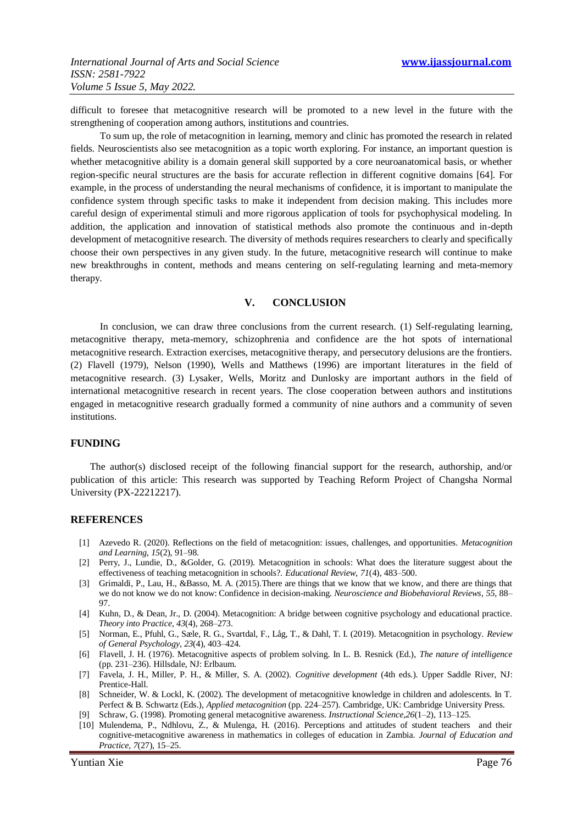difficult to foresee that metacognitive research will be promoted to a new level in the future with the strengthening of cooperation among authors, institutions and countries.

To sum up, the role of metacognition in learning, memory and clinic has promoted the research in related fields. Neuroscientists also see metacognition as a topic worth exploring. For instance, an important question is whether metacognitive ability is a domain general skill supported by a core neuroanatomical basis, or whether region-specific neural structures are the basis for accurate reflection in different cognitive domains [64]. For example, in the process of understanding the neural mechanisms of confidence, it is important to manipulate the confidence system through specific tasks to make it independent from decision making. This includes more careful design of experimental stimuli and more rigorous application of tools for psychophysical modeling. In addition, the application and innovation of statistical methods also promote the continuous and in-depth development of metacognitive research. The diversity of methods requires researchers to clearly and specifically choose their own perspectives in any given study. In the future, metacognitive research will continue to make new breakthroughs in content, methods and means centering on self-regulating learning and meta-memory therapy.

# **V. CONCLUSION**

In conclusion, we can draw three conclusions from the current research. (1) Self-regulating learning, metacognitive therapy, meta-memory, schizophrenia and confidence are the hot spots of international metacognitive research. Extraction exercises, metacognitive therapy, and persecutory delusions are the frontiers. (2) Flavell (1979), Nelson (1990), Wells and Matthews (1996) are important literatures in the field of metacognitive research. (3) Lysaker, Wells, Moritz and Dunlosky are important authors in the field of international metacognitive research in recent years. The close cooperation between authors and institutions engaged in metacognitive research gradually formed a community of nine authors and a community of seven institutions.

## **FUNDING**

The author(s) disclosed receipt of the following financial support for the research, authorship, and/or publication of this article: This research was supported by Teaching Reform Project of Changsha Normal University (PX-22212217).

## **REFERENCES**

- [1] Azevedo R. (2020). Reflections on the field of metacognition: issues, challenges, and opportunities. *Metacognition and Learning*, *15*(2), 91–98.
- [2] Perry, J., Lundie, D., &Golder, G. (2019). Metacognition in schools: What does the literature suggest about the effectiveness of teaching metacognition in schools?. *Educational Review*, *71*(4), 483–500.
- [3] Grimaldi, P., Lau, H., &Basso, M. A. (2015).There are things that we know that we know, and there are things that we do not know we do not know: Confidence in decision-making. *Neuroscience and Biobehavioral Reviews*, *55*, 88– 97.
- [4] Kuhn, D., & Dean, Jr., D. (2004). Metacognition: A bridge between cognitive psychology and educational practice. *Theory into Practice*, *43*(4), 268–273.
- [5] Norman, E., Pfuhl, G., Sæle, R. G., Svartdal, F., Låg, T., & Dahl, T. I. (2019). Metacognition in psychology. *Review of General Psychology*, *23*(4), 403–424.
- [6] Flavell, J. H. (1976). Metacognitive aspects of problem solving. In L. B. Resnick (Ed.), *The nature of intelligence* (pp. 231–236). Hillsdale, NJ: Erlbaum.
- [7] Favela, J. H., Miller, P. H., & Miller, S. A. (2002). *Cognitive development* (4th eds.). Upper Saddle River, NJ: Prentice-Hall.
- [8] Schneider, W. & Lockl, K. (2002). The development of metacognitive knowledge in children and adolescents. In T. Perfect & B. Schwartz (Eds.), *Applied metacognition* (pp. 224–257). Cambridge, UK: Cambridge University Press.
- [9] Schraw, G. (1998). Promoting general metacognitive awareness. *Instructional Science*,*26*(1–2), 113–125.
- [10] Mulendema, P., Ndhlovu, Z., & Mulenga, H. (2016). Perceptions and attitudes of student teachers and their cognitive-metacognitive awareness in mathematics in colleges of education in Zambia. *Journal of Education and Practice*, *7*(27), 15–25.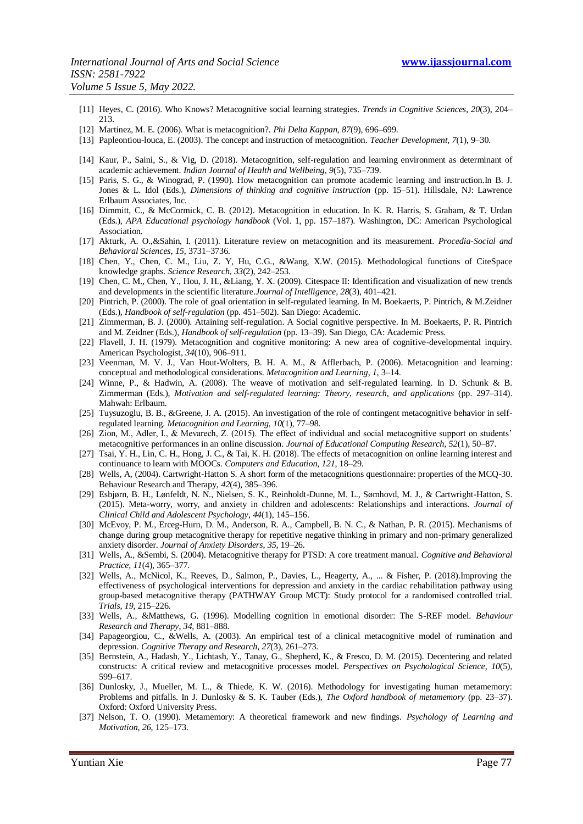- [11] Heyes, C. (2016). Who Knows? Metacognitive social learning strategies. *Trends in Cognitive Sciences*, *20*(3), 204– 213.
- [12] Martinez, M. E. (2006). What is metacognition?. *Phi Delta Kappan*, *87*(9), 696–699.
- [13] Papleontiou-louca, E. (2003). The concept and instruction of metacognition. *Teacher Development*, *7*(1), 9–30.
- [14] Kaur, P., Saini, S., & Vig, D. (2018). Metacognition, self-regulation and learning environment as determinant of academic achievement. *Indian Journal of Health and Wellbeing*, *9*(5), 735–739.
- [15] Paris, S. G., & Winograd, P. (1990). How metacognition can promote academic learning and instruction.In B. J. Jones & L. Idol (Eds.), *Dimensions of thinking and cognitive instruction* (pp. 15–51). Hillsdale, NJ: Lawrence Erlbaum Associates, Inc.
- [16] Dimmitt, C., & McCormick, C. B. (2012). Metacognition in education. In K. R. Harris, S. Graham, & T. Urdan (Eds.), *APA Educational psychology handbook* (Vol. 1, pp. 157–187). Washington, DC: American Psychological Association.
- [17] Akturk, A. O.,&Sahin, I. (2011). Literature review on metacognition and its measurement. *Procedia-Social and Behavioral Sciences*, *15*, 3731–3736.
- [18] Chen, Y., Chen, C. M., Liu, Z. Y, Hu, C.G., &Wang, X.W. (2015). Methodological functions of CiteSpace knowledge graphs. *Science Research*, *33*(2), 242–253.
- [19] Chen, C. M., Chen, Y., Hou, J. H., &Liang, Y. X. (2009). Citespace II: Identification and visualization of new trends and developments in the scientific literature.*Journal of Intelligence*, *28*(3), 401–421.
- [20] Pintrich, P. (2000). The role of goal orientation in self-regulated learning. In M. Boekaerts, P. Pintrich, & M.Zeidner (Eds.), *Handbook of self-regulation* (pp. 451–502). San Diego: Academic.
- [21] Zimmerman, B. J. (2000). Attaining self-regulation. A Social cognitive perspective. In M. Boekaerts, P. R. Pintrich and M. Zeidner (Eds.), *Handbook of self-regulation* (pp. 13–39). San Diego, CA: Academic Press.
- [22] Flavell, J. H. (1979). Metacognition and cognitive monitoring: A new area of cognitive-developmental inquiry. American Psychologist, *34*(10), 906–911.
- [23] Veenman, M. V. J., Van Hout-Wolters, B. H. A. M., & Afflerbach, P. (2006). Metacognition and learning: conceptual and methodological considerations. *Metacognition and Learning*, *1*, 3–14.
- [24] Winne, P., & Hadwin, A. (2008). The weave of motivation and self-regulated learning. In D. Schunk & B. Zimmerman (Eds.), *Motivation and self-regulated learning: Theory, research, and applications* (pp. 297–314). Mahwah: Erlbaum.
- [25] Tuysuzoglu, B. B., &Greene, J. A. (2015). An investigation of the role of contingent metacognitive behavior in selfregulated learning. *Metacognition and Learning*, *10*(1), 77–98.
- [26] Zion, M., Adler, I., & Mevarech, Z. (2015). The effect of individual and social metacognitive support on students' metacognitive performances in an online discussion. *Journal of Educational Computing Research*, *52*(1), 50–87.
- [27] Tsai, Y. H., Lin, C. H., Hong, J. C., & Tai, K. H. (2018). The effects of metacognition on online learning interest and continuance to learn with MOOCs. *Computers and Education*, *121*, 18–29.
- [28] Wells, A, (2004). Cartwright-Hatton S. A short form of the metacognitions questionnaire: properties of the MCQ-30. Behaviour Research and Therapy, *42*(4), 385–396.
- [29] Esbjørn, B. H., Lønfeldt, N. N., Nielsen, S. K., Reinholdt-Dunne, M. L., Sømhovd, M. J., & Cartwright-Hatton, S. (2015). Meta-worry, worry, and anxiety in children and adolescents: Relationships and interactions. *Journal of Clinical Child and Adolescent Psychology*, *44*(1), 145–156.
- [30] McEvoy, P. M., Erceg-Hurn, D. M., Anderson, R. A., Campbell, B. N. C., & Nathan, P. R. (2015). Mechanisms of change during group metacognitive therapy for repetitive negative thinking in primary and non-primary generalized anxiety disorder. *Journal of Anxiety Disorders*, *35*, 19–26.
- [31] Wells, A., &Sembi, S. (2004). Metacognitive therapy for PTSD: A core treatment manual. *Cognitive and Behavioral Practice*, *11*(4), 365–377.
- [32] Wells, A., McNicol, K., Reeves, D., Salmon, P., Davies, L., Heagerty, A., ... & Fisher, P. (2018).Improving the effectiveness of psychological interventions for depression and anxiety in the cardiac rehabilitation pathway using group-based metacognitive therapy (PATHWAY Group MCT): Study protocol for a randomised controlled trial. *Trials*, *19*, 215–226.
- [33] Wells, A., &Matthews, G. (1996). Modelling cognition in emotional disorder: The S-REF model. *Behaviour Research and Therapy*, *34*, 881–888.
- [34] Papageorgiou, C., &Wells, A. (2003). An empirical test of a clinical metacognitive model of rumination and depression. *Cognitive Therapy and Research*, *27*(3), 261–273.
- [35] Bernstein, A., Hadash, Y., Lichtash, Y., Tanay, G., Shepherd, K., & Fresco, D. M. (2015). Decentering and related constructs: A critical review and metacognitive processes model. *Perspectives on Psychological Science*, *10*(5), 599–617.
- [36] Dunlosky, J., Mueller, M. L., & Thiede, K. W. (2016). Methodology for investigating human metamemory: Problems and pitfalls. In J. Dunlosky & S. K. Tauber (Eds.), *The Oxford handbook of metamemory* (pp. 23–37). Oxford: Oxford University Press.
- [37] Nelson, T. O. (1990). Metamemory: A theoretical framework and new findings. *Psychology of Learning and Motivation*, *26*, 125–173.